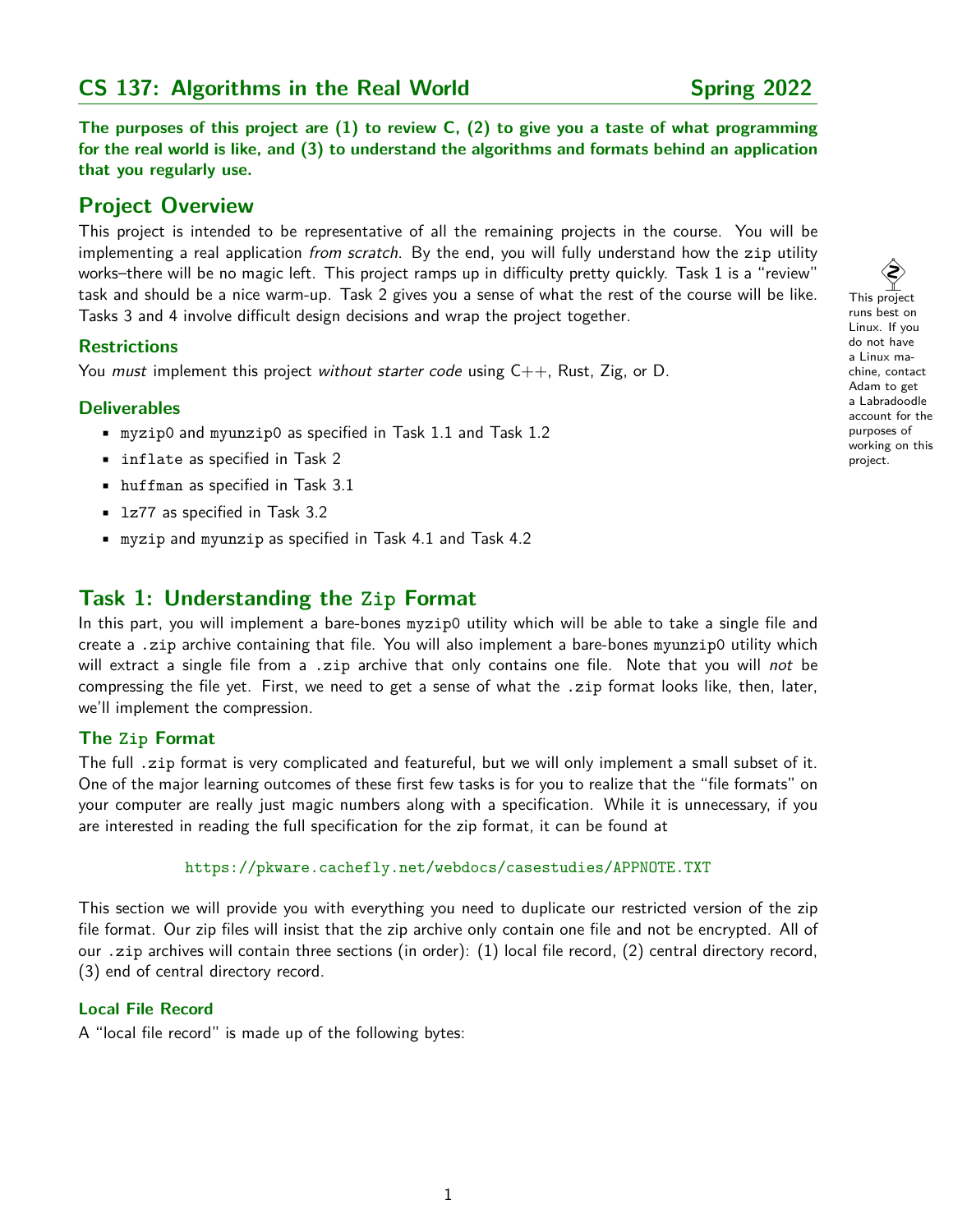# **CS 137: Algorithms in the Real World Spring 2022**

**The purposes of this project are (1) to review C, (2) to give you a taste of what programming for the real world is like, and (3) to understand the algorithms and formats behind an application that you regularly use.**

# **Project Overview**

This project is intended to be representative of all the remaining projects in the course. You will be implementing a real application from scratch. By the end, you will fully understand how the zip utility works–there will be no magic left. This project ramps up in difficulty pretty quickly. Task 1 is a "review" task and should be a nice warm-up. Task 2 gives you a sense of what the rest of the course will be like. Tasks 3 and 4 involve difficult design decisions and wrap the project together.

## **Restrictions**

You must implement this project without starter code using  $C++$ , Rust, Zig, or D.

## **Deliverables**

- myzip0 and myunzip0 as specified in Task 1.1 and Task 1.2
- inflate as specified in Task 2
- huffman as specified in Task 3.1
- lz77 as specified in Task 3.2
- myzip and myunzip as specified in Task 4.1 and Task 4.2

# **Task 1: Understanding the Zip Format**

In this part, you will implement a bare-bones myzip0 utility which will be able to take a single file and create a .zip archive containing that file. You will also implement a bare-bones myunzip0 utility which will extract a single file from a .zip archive that only contains one file. Note that you will not be compressing the file yet. First, we need to get a sense of what the .zip format looks like, then, later, we'll implement the compression.

## **The Zip Format**

The full .zip format is very complicated and featureful, but we will only implement a small subset of it. One of the major learning outcomes of these first few tasks is for you to realize that the "file formats" on your computer are really just magic numbers along with a specification. While it is unnecessary, if you are interested in reading the full specification for the zip format, it can be found at

```
https://pkware.cachefly.net/webdocs/casestudies/APPNOTE.TXT
```
This section we will provide you with everything you need to duplicate our restricted version of the zip file format. Our zip files will insist that the zip archive only contain one file and not be encrypted. All of our .zip archives will contain three sections (in order): (1) local file record, (2) central directory record, (3) end of central directory record.

## **Local File Record**

A "local file record" is made up of the following bytes:

 $\hat{\bm{\xi}}$ This project runs best on Linux. If you do not have a Linux machine, contact Adam to get a Labradoodle account for the purposes of working on this project.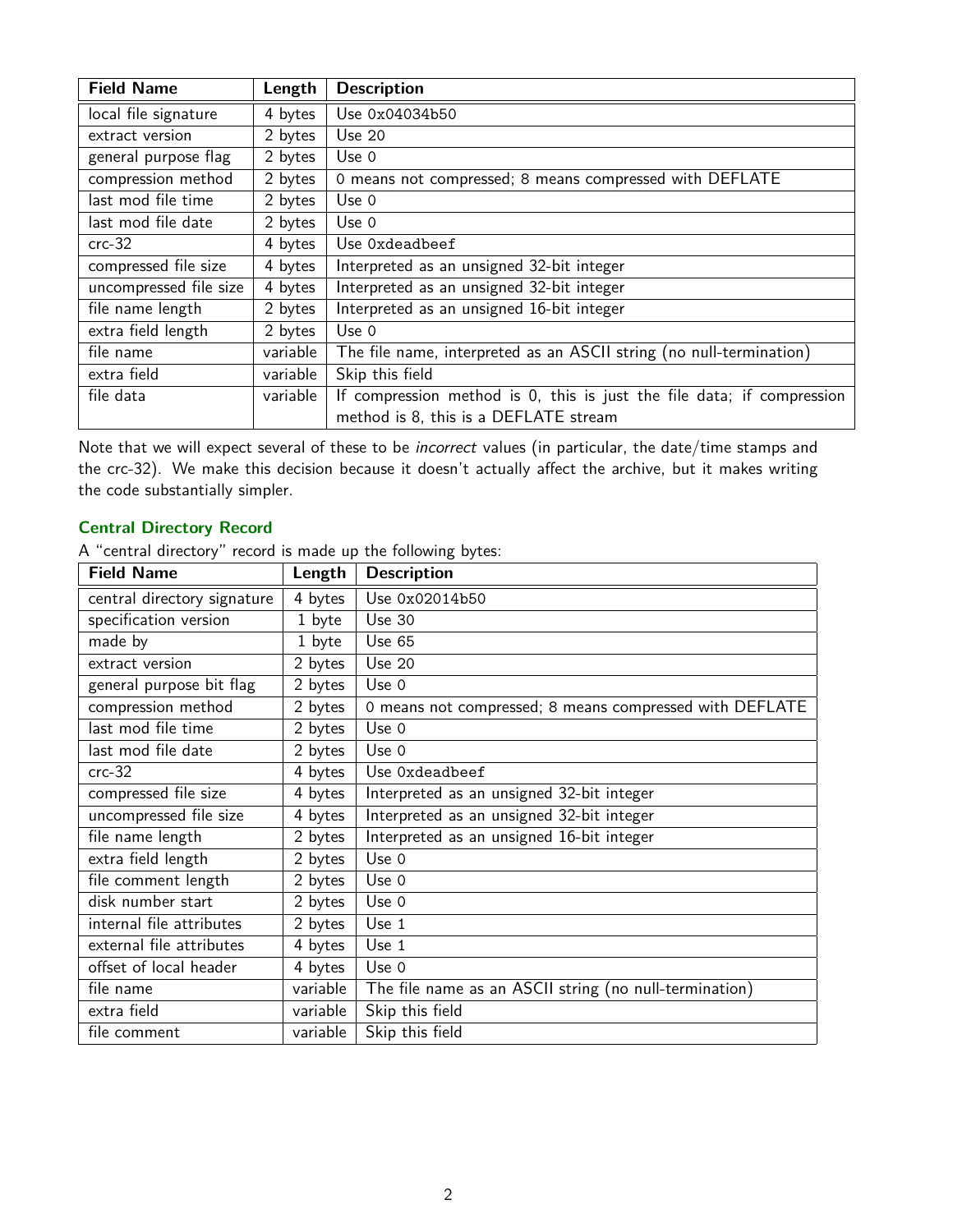| <b>Field Name</b>      | Length   | <b>Description</b>                                                     |  |
|------------------------|----------|------------------------------------------------------------------------|--|
| local file signature   | 4 bytes  | Use 0x04034b50                                                         |  |
| extract version        | 2 bytes  | <b>Use 20</b>                                                          |  |
| general purpose flag   | 2 bytes  | Use 0                                                                  |  |
| compression method     | 2 bytes  | 0 means not compressed; 8 means compressed with DEFLATE                |  |
| last mod file time     | 2 bytes  | Use 0                                                                  |  |
| last mod file date     | 2 bytes  | Use 0                                                                  |  |
| $crc-32$               | 4 bytes  | Use Oxdeadbeef                                                         |  |
| compressed file size   | 4 bytes  | Interpreted as an unsigned 32-bit integer                              |  |
| uncompressed file size | 4 bytes  | Interpreted as an unsigned 32-bit integer                              |  |
| file name length       | 2 bytes  | Interpreted as an unsigned 16-bit integer                              |  |
| extra field length     | 2 bytes  | Use $0$                                                                |  |
| file name              | variable | The file name, interpreted as an ASCII string (no null-termination)    |  |
| extra field            | variable | Skip this field                                                        |  |
| file data              | variable | If compression method is 0, this is just the file data; if compression |  |
|                        |          | method is 8, this is a DEFLATE stream                                  |  |

Note that we will expect several of these to be incorrect values (in particular, the date/time stamps and the crc-32). We make this decision because it doesn't actually affect the archive, but it makes writing the code substantially simpler.

## **Central Directory Record**

A "central directory" record is made up the following bytes:

| <b>Field Name</b>           | Length   | <b>Description</b>                                      |
|-----------------------------|----------|---------------------------------------------------------|
| central directory signature | 4 bytes  | Use 0x02014b50                                          |
| specification version       | 1 byte   | <b>Use 30</b>                                           |
| made by                     | 1 byte   | <b>Use 65</b>                                           |
| extract version             | 2 bytes  | <b>Use 20</b>                                           |
| general purpose bit flag    | 2 bytes  | Use 0                                                   |
| compression method          | 2 bytes  | 0 means not compressed; 8 means compressed with DEFLATE |
| last mod file time          | 2 bytes  | Use 0                                                   |
| last mod file date          | 2 bytes  | Use 0                                                   |
| $crc-32$                    | 4 bytes  | Use Oxdeadbeef                                          |
| compressed file size        | 4 bytes  | Interpreted as an unsigned 32-bit integer               |
| uncompressed file size      | 4 bytes  | Interpreted as an unsigned 32-bit integer               |
| file name length            | 2 bytes  | Interpreted as an unsigned 16-bit integer               |
| extra field length          | 2 bytes  | Use 0                                                   |
| file comment length         | 2 bytes  | Use 0                                                   |
| disk number start           | 2 bytes  | Use 0                                                   |
| internal file attributes    | 2 bytes  | Use 1                                                   |
| external file attributes    | 4 bytes  | Use 1                                                   |
| offset of local header      | 4 bytes  | Use 0                                                   |
| file name                   | variable | The file name as an ASCII string (no null-termination)  |
| extra field                 | variable | Skip this field                                         |
| file comment                | variable | Skip this field                                         |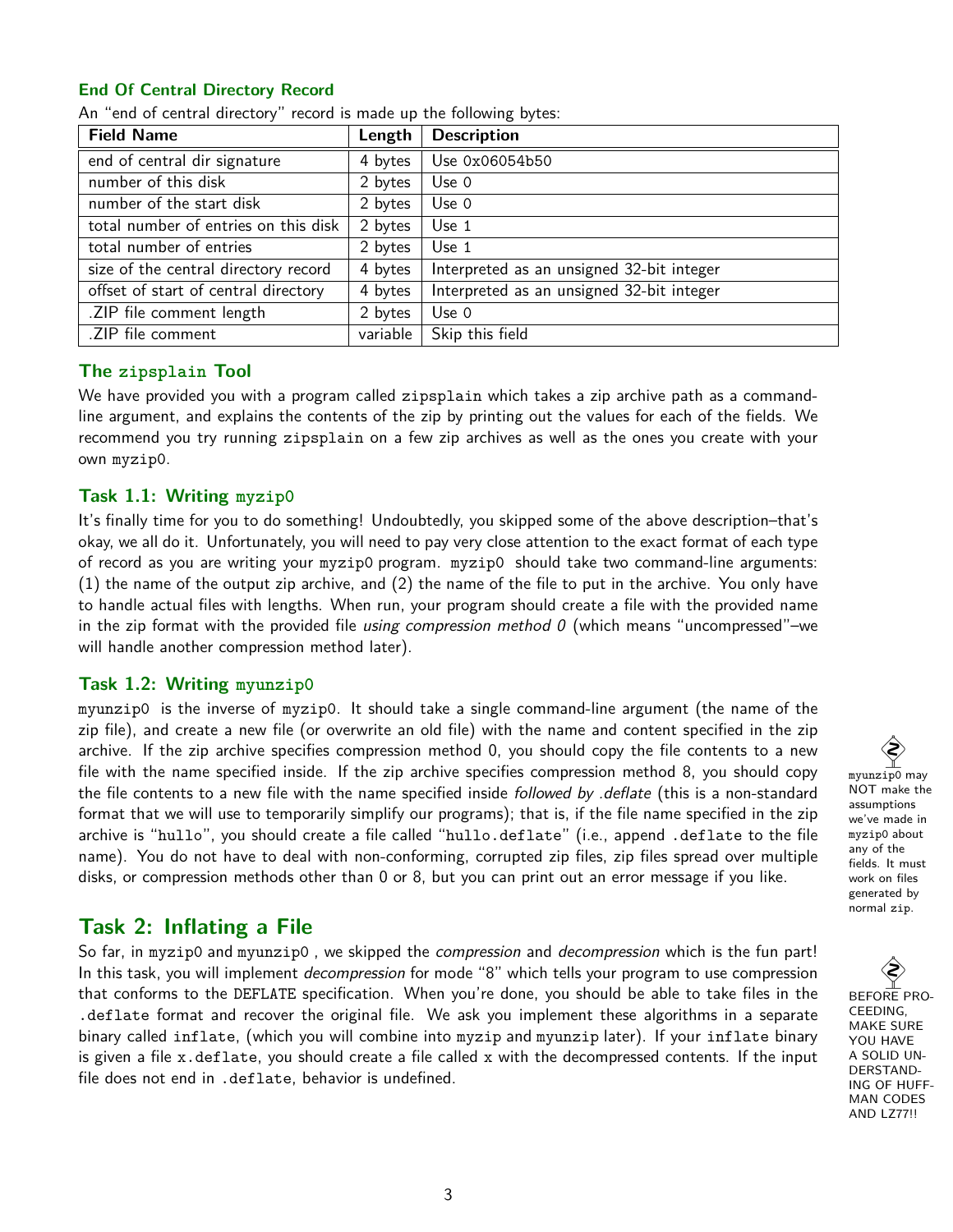## **End Of Central Directory Record**

| <b>Field Name</b>                    | Length   | <b>Description</b>                        |
|--------------------------------------|----------|-------------------------------------------|
| end of central dir signature         | 4 bytes  | Use 0x06054b50                            |
| number of this disk                  | 2 bytes  | Use 0                                     |
| number of the start disk             | 2 bytes  | Use 0                                     |
| total number of entries on this disk | 2 bytes  | Use 1                                     |
| total number of entries              | 2 bytes  | Use 1                                     |
| size of the central directory record | 4 bytes  | Interpreted as an unsigned 32-bit integer |
| offset of start of central directory | 4 bytes  | Interpreted as an unsigned 32-bit integer |
| .ZIP file comment length             | 2 bytes  | Use 0                                     |
| .ZIP file comment                    | variable | Skip this field                           |

An "end of central directory" record is made up the following bytes:

## **The zipsplain Tool**

We have provided you with a program called zipsplain which takes a zip archive path as a commandline argument, and explains the contents of the zip by printing out the values for each of the fields. We recommend you try running zipsplain on a few zip archives as well as the ones you create with your own myzip0.

## **Task 1.1: Writing myzip0**

It's finally time for you to do something! Undoubtedly, you skipped some of the above description–that's okay, we all do it. Unfortunately, you will need to pay very close attention to the exact format of each type of record as you are writing your myzip0 program. myzip0 should take two command-line arguments: (1) the name of the output zip archive, and (2) the name of the file to put in the archive. You only have to handle actual files with lengths. When run, your program should create a file with the provided name in the zip format with the provided file *using compression method 0* (which means "uncompressed"–we will handle another compression method later).

## **Task 1.2: Writing myunzip0**

myunzip0 is the inverse of myzip0. It should take a single command-line argument (the name of the zip file), and create a new file (or overwrite an old file) with the name and content specified in the zip archive. If the zip archive specifies compression method 0, you should copy the file contents to a new file with the name specified inside. If the zip archive specifies compression method 8, you should copy the file contents to a new file with the name specified inside followed by .deflate (this is a non-standard format that we will use to temporarily simplify our programs); that is, if the file name specified in the zip archive is "hullo", you should create a file called "hullo.deflate" (i.e., append .deflate to the file name). You do not have to deal with non-conforming, corrupted zip files, zip files spread over multiple disks, or compression methods other than 0 or 8, but you can print out an error message if you like.

## **Task 2: Inflating a File**

So far, in myzip0 and myunzip0, we skipped the *compression* and *decompression* which is the fun part! In this task, you will implement *decompression* for mode "8" which tells your program to use compression that conforms to the DEFLATE specification. When you're done, you should be able to take files in the .deflate format and recover the original file. We ask you implement these algorithms in a separate binary called inflate, (which you will combine into myzip and myunzip later). If your inflate binary is given a file x.deflate, you should create a file called x with the decompressed contents. If the input file does not end in .deflate, behavior is undefined.

 $\hat{\diamondsuit}$ myunzip0 may NOT make the assumptions we've made in myzip0 about any of the fields. It must work on files generated by normal zip.

 $\hat{\mathbf{Q}}$ BEFORE PRO-CEEDING, MAKE SURE YOU HAVE A SOLID UN-DERSTAND-ING OF HUFF-MAN CODES AND LZ77!!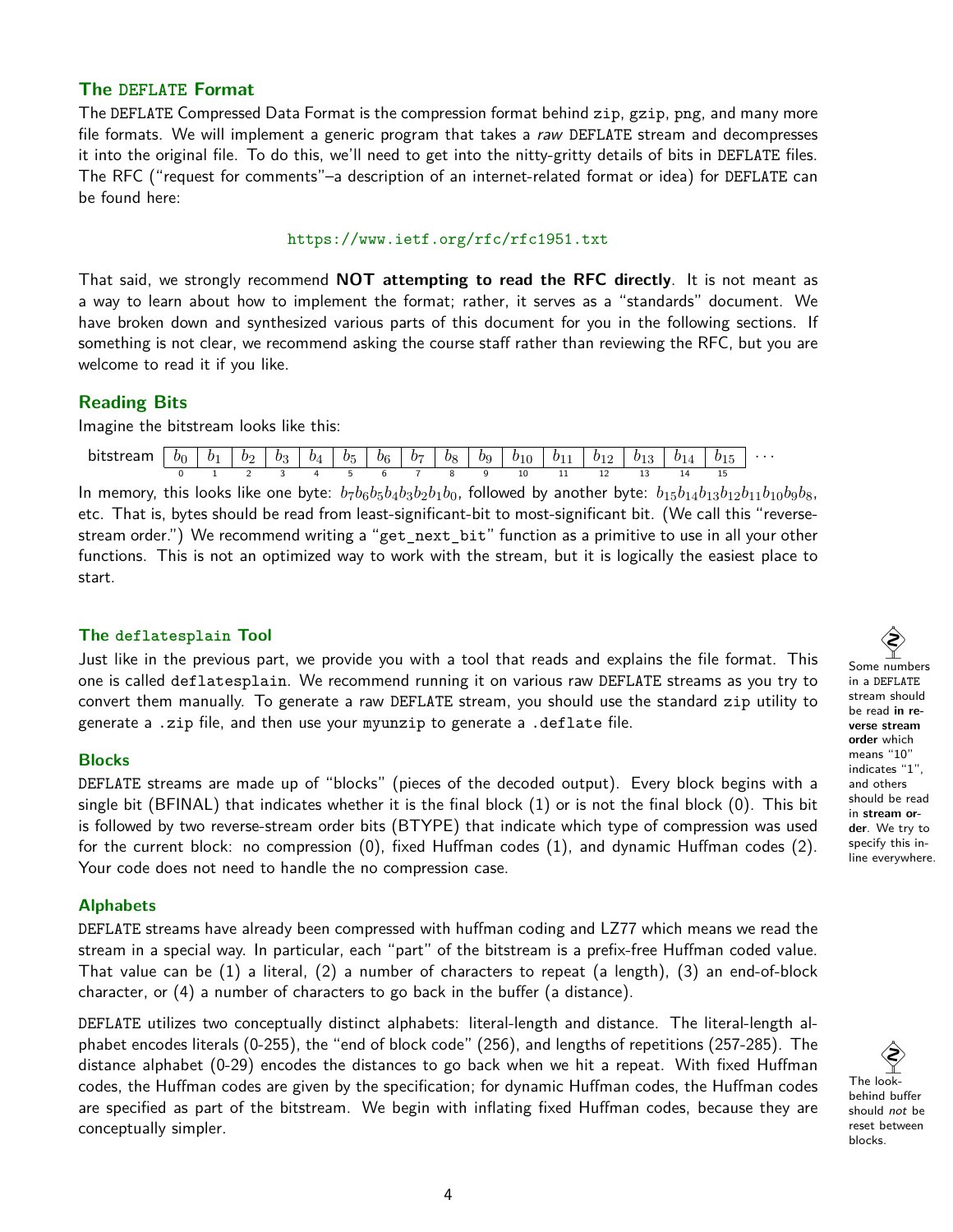## **The DEFLATE Format**

The DEFLATE Compressed Data Format is the compression format behind zip, gzip, png, and many more file formats. We will implement a generic program that takes a raw DEFLATE stream and decompresses it into the original file. To do this, we'll need to get into the nitty-gritty details of bits in DEFLATE files. The RFC ("request for comments"–a description of an internet-related format or idea) for DEFLATE can be found here:

#### <https://www.ietf.org/rfc/rfc1951.txt>

That said, we strongly recommend **NOT attempting to read the RFC directly**. It is not meant as a way to learn about how to implement the format; rather, it serves as a "standards" document. We have broken down and synthesized various parts of this document for you in the following sections. If something is not clear, we recommend asking the course staff rather than reviewing the RFC, but you are welcome to read it if you like.

## **Reading Bits**

Imagine the bitstream looks like this:

| br | h1 | bo | bз | $b_4$ | $b_{5}$ | b <sub>6</sub> | $b_z$ | $ b_8 $   | $b^{\alpha}$ | $b_{10}$ | $b_{11}$<br><b>. .</b> | $\mid b_{12} \rangle$<br>-- | $b_{13}$ | 91 <sub>A</sub> |     | $\cdots$ |
|----|----|----|----|-------|---------|----------------|-------|-----------|--------------|----------|------------------------|-----------------------------|----------|-----------------|-----|----------|
|    |    |    |    |       |         |                |       | 4 5 6 7 8 | a.           | 10       | . .                    | --                          |          |                 | . . |          |

In memory, this looks like one byte:  $b_7b_6b_5b_4b_3b_2b_1b_0$ , followed by another byte:  $b_{15}b_{14}b_{13}b_{12}b_{11}b_{10}b_9b_8$ , etc. That is, bytes should be read from least-significant-bit to most-significant bit. (We call this "reversestream order.") We recommend writing a "get\_next\_bit" function as a primitive to use in all your other functions. This is not an optimized way to work with the stream, but it is logically the easiest place to start.

#### **The deflatesplain Tool**

Just like in the previous part, we provide you with a tool that reads and explains the file format. This one is called deflatesplain. We recommend running it on various raw DEFLATE streams as you try to convert them manually. To generate a raw DEFLATE stream, you should use the standard zip utility to generate a .zip file, and then use your myunzip to generate a .deflate file.

#### **Blocks**

DEFLATE streams are made up of "blocks" (pieces of the decoded output). Every block begins with a single bit (BFINAL) that indicates whether it is the final block (1) or is not the final block (0). This bit is followed by two reverse-stream order bits (BTYPE) that indicate which type of compression was used for the current block: no compression (0), fixed Huffman codes (1), and dynamic Huffman codes (2). Your code does not need to handle the no compression case.

#### **Alphabets**

DEFLATE streams have already been compressed with huffman coding and LZ77 which means we read the stream in a special way. In particular, each "part" of the bitstream is a prefix-free Huffman coded value. That value can be (1) a literal, (2) a number of characters to repeat (a length), (3) an end-of-block character, or (4) a number of characters to go back in the buffer (a distance).

DEFLATE utilizes two conceptually distinct alphabets: literal-length and distance. The literal-length alphabet encodes literals (0-255), the "end of block code" (256), and lengths of repetitions (257-285). The distance alphabet (0-29) encodes the distances to go back when we hit a repeat. With fixed Huffman codes, the Huffman codes are given by the specification; for dynamic Huffman codes, the Huffman codes are specified as part of the bitstream. We begin with inflating fixed Huffman codes, because they are conceptually simpler.

R) Some numbers in a DEFLATE stream should be read **in reverse stream order** which means "10" indicates "1", and others should be read in **stream order**. We try to specify this inline everywhere.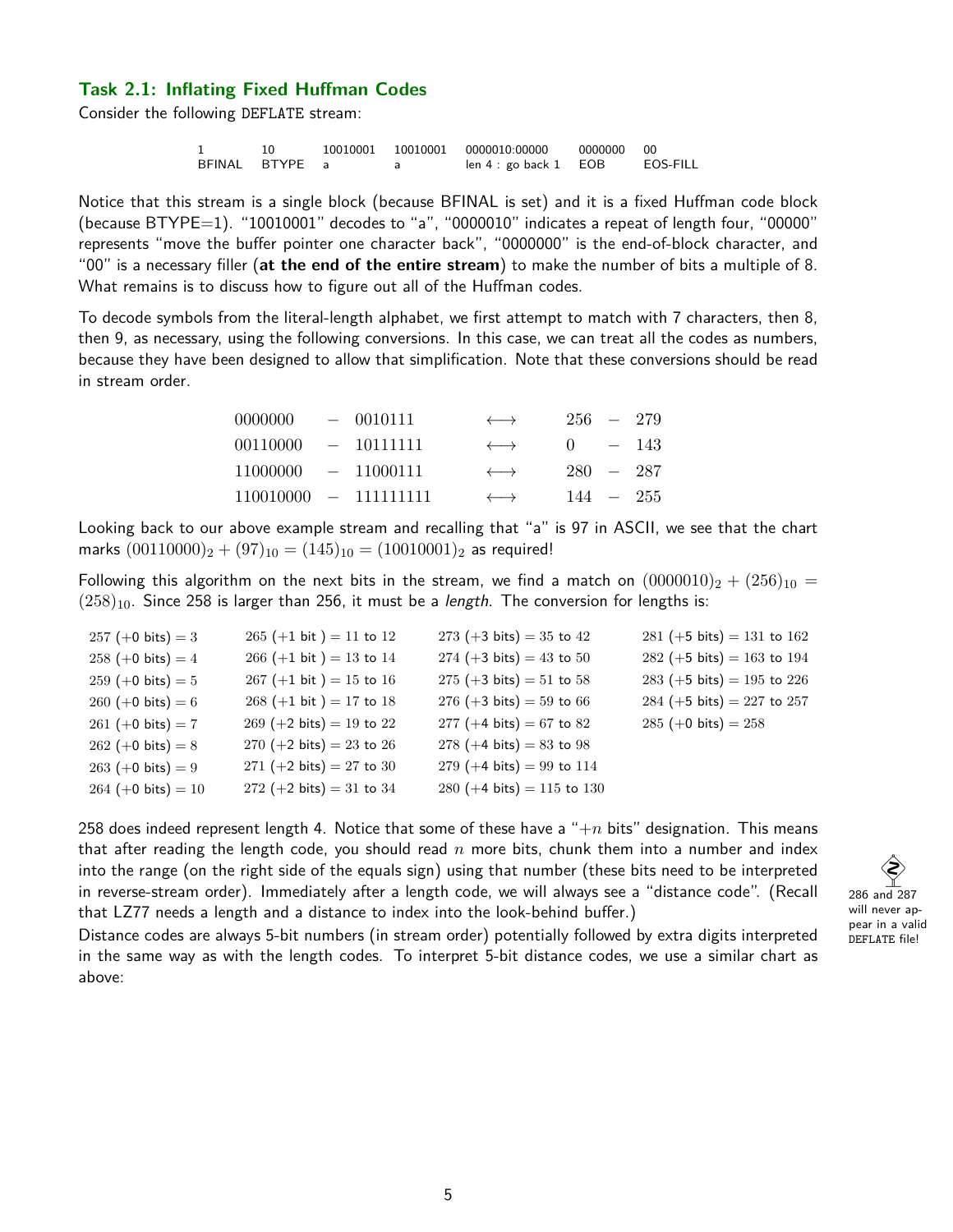#### **Task 2.1: Inflating Fixed Huffman Codes**

Consider the following DEFLATE stream:

1 10 10010001 10010001 0000010:00000 0000000 00<br>BFINAL BTYPE a a a len 4 : go back 1 EOB EOS-FILL BFINAL BTYPE a a len 4 : go back 1 EOB

Notice that this stream is a single block (because BFINAL is set) and it is a fixed Huffman code block (because BTYPE=1). "10010001" decodes to "a", "0000010" indicates a repeat of length four, "00000" represents "move the buffer pointer one character back", "0000000" is the end-of-block character, and "00" is a necessary filler (**at the end of the entire stream**) to make the number of bits a multiple of 8. What remains is to discuss how to figure out all of the Huffman codes.

To decode symbols from the literal-length alphabet, we first attempt to match with 7 characters, then 8, then 9, as necessary, using the following conversions. In this case, we can treat all the codes as numbers, because they have been designed to allow that simplification. Note that these conversions should be read in stream order.

| 0000000                 | $-0010111$ | $\longleftrightarrow$ | $256 - 279$ |             |
|-------------------------|------------|-----------------------|-------------|-------------|
| 00110000 - 10111111     |            | $\longleftrightarrow$ | $0 = 143$   |             |
| $11000000 - 11000111$   |            | $\longleftrightarrow$ | $280 - 287$ |             |
| $110010000 - 111111111$ |            | $\longleftrightarrow$ |             | $144 - 255$ |

Looking back to our above example stream and recalling that "a" is 97 in ASCII, we see that the chart marks  $(00110000)_2 + (97)_{10} = (145)_{10} = (10010001)_2$  as required!

Following this algorithm on the next bits in the stream, we find a match on  $(0000010)_2 + (256)_{10} =$  $(258)_{10}$ . Since 258 is larger than 256, it must be a *length*. The conversion for lengths is:

| $257 (+0 bits) = 3$  | $265 (+1 bit) = 11 to 12$                   | $273 (+3 bits) = 35$ to 42                    | $281 (+5 \text{ bits}) = 131 \text{ to } 162$ |
|----------------------|---------------------------------------------|-----------------------------------------------|-----------------------------------------------|
| $258 (+0 bits) = 4$  | $266 (+1 bit) = 13 to 14$                   | $274 (+3 bits) = 43 to 50$                    | $282 (+5 \text{ bits}) = 163 \text{ to } 194$ |
| $259 (+0 bits) = 5$  | $267 (+1 \text{ bit}) = 15 \text{ to } 16$  | $275 (+3 bits) = 51$ to 58                    | 283 (+5 bits) = 195 to 226                    |
| $260 (+0 bits) = 6$  | $268 (+1 bit) = 17 to 18$                   | $276 (+3 bits) = 59$ to 66                    | 284 (+5 bits) = 227 to 257                    |
| $261 (+0 bits) = 7$  | $269 (+2 \text{ bits}) = 19 \text{ to } 22$ | $277 (+4 \text{ bits}) = 67 \text{ to } 82$   | $285 (+0 bits) = 258$                         |
| $262 (+0 bits) = 8$  | $270 (+2 \text{ bits}) = 23 \text{ to } 26$ | $278 (+4 bits) = 83 to 98$                    |                                               |
| $263 (+0 bits) = 9$  | 271 $(+2 \text{ bits}) = 27 \text{ to } 30$ | $279 (+4 \text{ bits}) = 99 \text{ to } 114$  |                                               |
| $264 (+0 bits) = 10$ | $272 (+2 \text{ bits}) = 31 \text{ to } 34$ | 280 $(+4 \text{ bits}) = 115 \text{ to } 130$ |                                               |
|                      |                                             |                                               |                                               |

258 does indeed represent length 4. Notice that some of these have a " $+n$  bits" designation. This means that after reading the length code, you should read n more bits, chunk them into a number and index into the range (on the right side of the equals sign) using that number (these bits need to be interpreted in reverse-stream order). Immediately after a length code, we will always see a "distance code". (Recall that LZ77 needs a length and a distance to index into the look-behind buffer.)



Distance codes are always 5-bit numbers (in stream order) potentially followed by extra digits interpreted in the same way as with the length codes. To interpret 5-bit distance codes, we use a similar chart as above: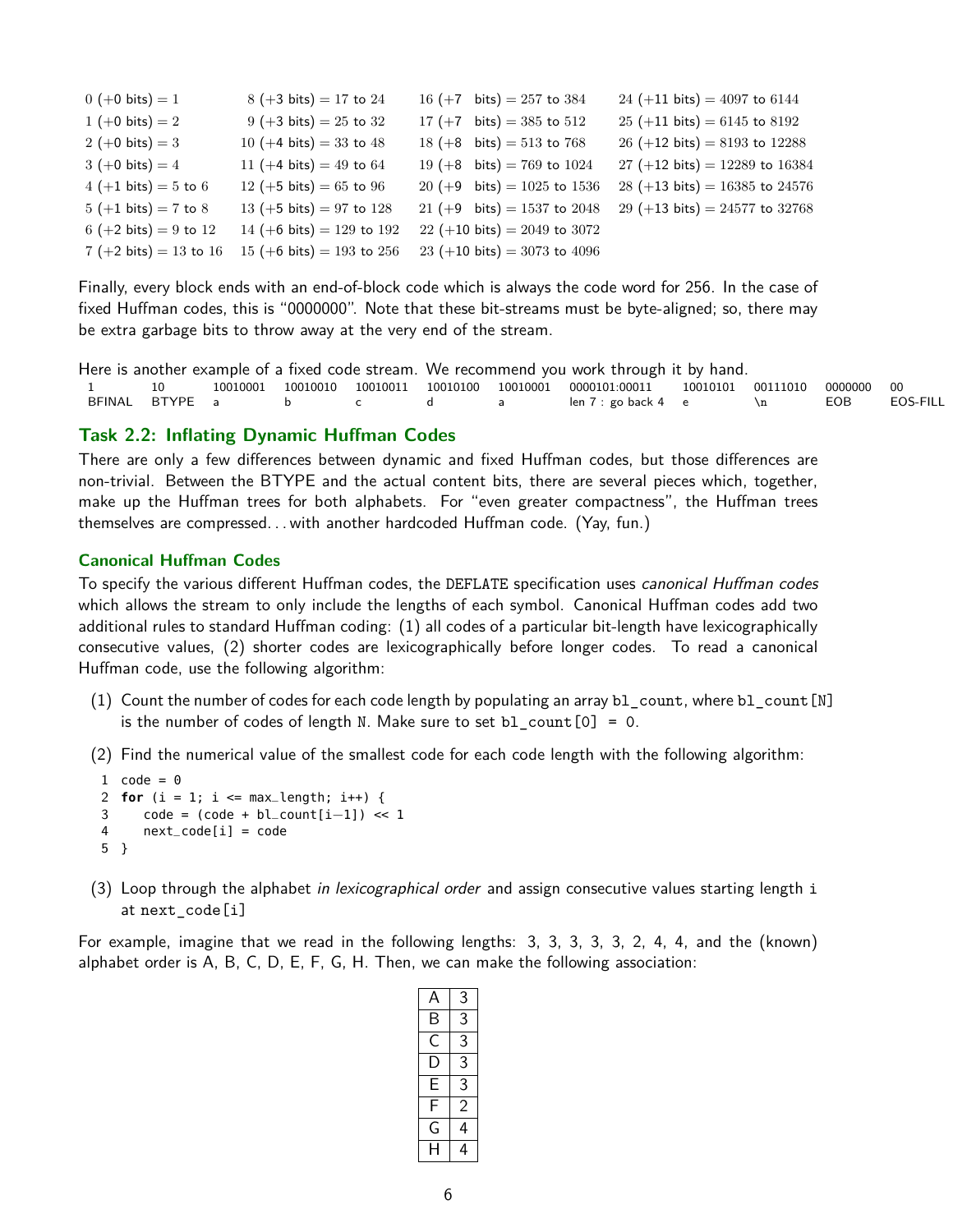| $0 (+0 bits) = 1$         | $8 (+3 bits) = 17 to 24$                   | 16 $(+7 \text{ bits}) = 257 \text{ to } 384$    | 24 (+11 bits) = $4097$ to 6144                  |
|---------------------------|--------------------------------------------|-------------------------------------------------|-------------------------------------------------|
| 1 $(+0 \text{ bits}) = 2$ | $9 (+3 bits) = 25 to 32$                   | 17 (+7 bits) = 385 to 512                       | $25 (+11 \text{ bits}) = 6145 \text{ to } 8192$ |
| 2 (+0 bits) = 3           | 10 $(+4 \text{ bits}) = 33 \text{ to } 48$ | $18 (+8 \text{ bits}) = 513 \text{ to } 768$    | 26 (+12 bits) = $8193$ to 12288                 |
| $3 (+0 bits) = 4$         | 11 (+4 bits) = 49 to 64                    | 19 (+8 bits) = 769 to 1024                      | 27 (+12 bits) = 12289 to 16384                  |
| $4 (+1 bits) = 5 to 6$    | 12 (+5 bits) = 65 to 96                    | 20 (+9 bits) = $1025$ to $1536$                 | 28 (+13 bits) = $16385$ to 24576                |
| $5 (+1 bits) = 7 to 8$    | 13 (+5 bits) = 97 to 128                   | 21 (+9 bits) = 1537 to 2048                     | 29 (+13 bits) = 24577 to 32768                  |
| 6 (+2 bits) = 9 to 12     | 14 (+6 bits) = 129 to 192                  | $22 (+10 \text{ bits}) = 2049 \text{ to } 3072$ |                                                 |
| 7 (+2 bits) = 13 to 16    | 15 (+6 bits) = 193 to 256                  | 23 (+10 bits) = 3073 to 4096                    |                                                 |

Finally, every block ends with an end-of-block code which is always the code word for 256. In the case of fixed Huffman codes, this is "0000000". Note that these bit-streams must be byte-aligned; so, there may be extra garbage bits to throw away at the very end of the stream.

```
Here is another example of a fixed code stream. We recommend you work through it by hand.
1 10 10010001 10010010 10010011 10010100 10010001 0000101:00011 10010101 00111010 0000000 00
             a b c d a len 7 : go back 4 e \n EOB
```
#### **Task 2.2: Inflating Dynamic Huffman Codes**

There are only a few differences between dynamic and fixed Huffman codes, but those differences are non-trivial. Between the BTYPE and the actual content bits, there are several pieces which, together, make up the Huffman trees for both alphabets. For "even greater compactness", the Huffman trees themselves are compressed. . . with another hardcoded Huffman code. (Yay, fun.)

#### **Canonical Huffman Codes**

To specify the various different Huffman codes, the DEFLATE specification uses *canonical Huffman codes* which allows the stream to only include the lengths of each symbol. Canonical Huffman codes add two additional rules to standard Huffman coding: (1) all codes of a particular bit-length have lexicographically consecutive values, (2) shorter codes are lexicographically before longer codes. To read a canonical Huffman code, use the following algorithm:

- (1) Count the number of codes for each code length by populating an array  $b1$  count, where  $b1$  count [N] is the number of codes of length N. Make sure to set bl  $count[0] = 0$ .
- (2) Find the numerical value of the smallest code for each code length with the following algorithm:

```
1 code = 02 for (i = 1; i \leq max_length; i++) {
3 code = (code + bl_{c}count[i-1]) \ll 14 next_code[i] = code
5 }
```
(3) Loop through the alphabet in lexicographical order and assign consecutive values starting length i at next\_code[i]

For example, imagine that we read in the following lengths: 3, 3, 3, 3, 3, 2, 4, 4, and the (known) alphabet order is A, B, C, D, E, F, G, H. Then, we can make the following association:

|   | 3 |
|---|---|
| Β | 3 |
| C | 3 |
| D | 3 |
| E | 3 |
| F | 2 |
| G | 4 |
| H | 4 |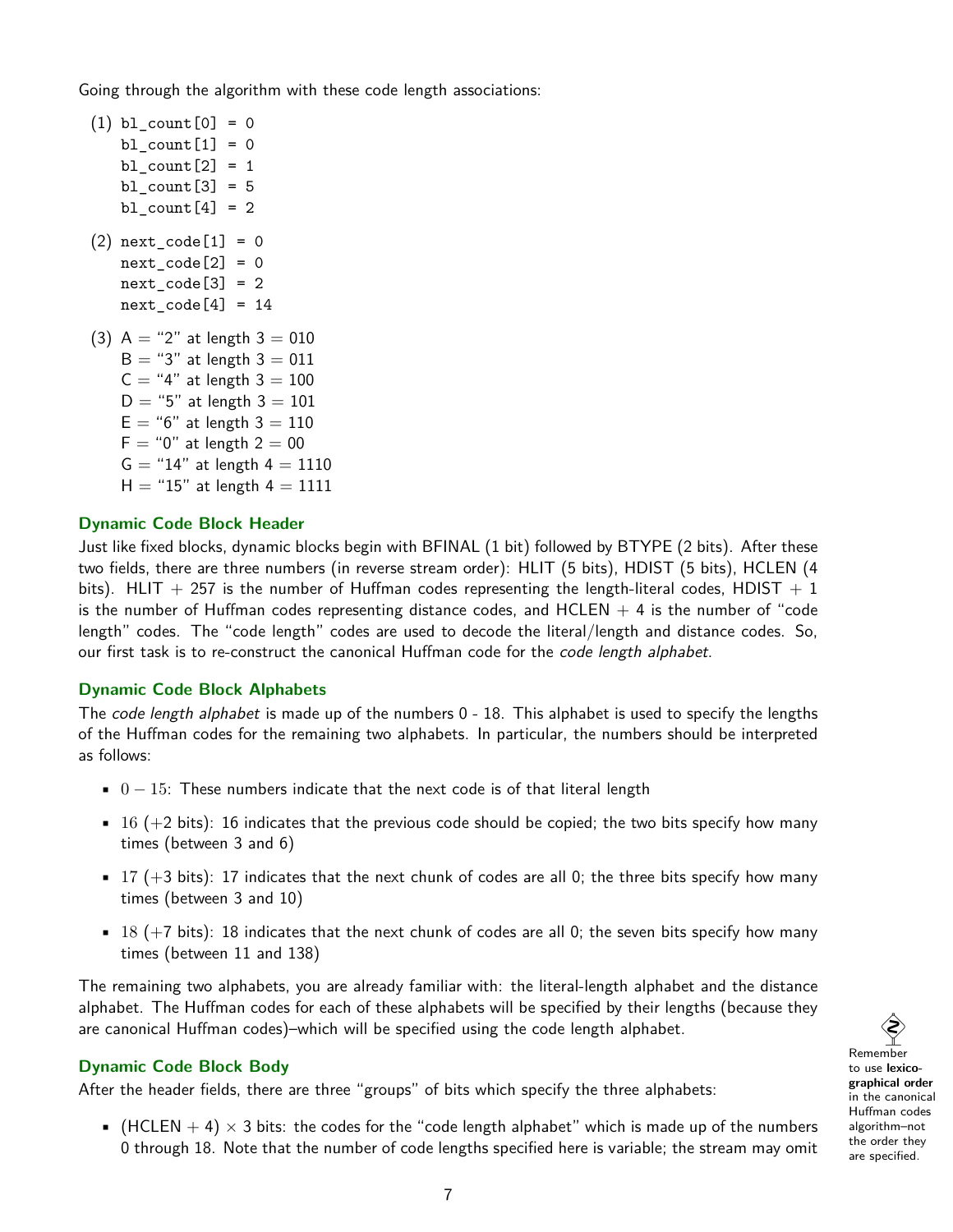Going through the algorithm with these code length associations:

```
(1) bl count [0] = 0bl_count[1] = 0bl_{count}[2] = 1bl_count[3] = 5bl_{count}[4] = 2(2) next_code[1] = 0next\_code[2] = 0next\_code[3] = 2next\_code[4] = 14(3) A = "2" at length 3 = 010B = "3" at length 3 = 011C = "4" at length 3 = 100D = "5" at length 3 = 101E = "6" at length 3 = 110F = "0" at length 2 = 00G = "14" at length 4 = 1110H = "15" at length 4 = 1111
```
#### **Dynamic Code Block Header**

Just like fixed blocks, dynamic blocks begin with BFINAL (1 bit) followed by BTYPE (2 bits). After these two fields, there are three numbers (in reverse stream order): HLIT (5 bits), HDIST (5 bits), HCLEN (4 bits). HLIT  $+$  257 is the number of Huffman codes representing the length-literal codes, HDIST  $+$  1 is the number of Huffman codes representing distance codes, and  $HCLEN + 4$  is the number of "code length" codes. The "code length" codes are used to decode the literal/length and distance codes. So, our first task is to re-construct the canonical Huffman code for the *code length alphabet*.

#### **Dynamic Code Block Alphabets**

The code length alphabet is made up of the numbers 0 - 18. This alphabet is used to specify the lengths of the Huffman codes for the remaining two alphabets. In particular, the numbers should be interpreted as follows:

- $0 15$ : These numbers indicate that the next code is of that literal length
- $\bullet$  16 (+2 bits): 16 indicates that the previous code should be copied; the two bits specify how many times (between 3 and 6)
- $\bullet$  17 (+3 bits): 17 indicates that the next chunk of codes are all 0; the three bits specify how many times (between 3 and 10)
- $\bullet$  18 (+7 bits): 18 indicates that the next chunk of codes are all 0; the seven bits specify how many times (between 11 and 138)

The remaining two alphabets, you are already familiar with: the literal-length alphabet and the distance alphabet. The Huffman codes for each of these alphabets will be specified by their lengths (because they are canonical Huffman codes)–which will be specified using the code length alphabet.

## **Dynamic Code Block Body**

After the header fields, there are three "groups" of bits which specify the three alphabets:

• (HCLEN  $+ 4$ )  $\times$  3 bits: the codes for the "code length alphabet" which is made up of the numbers 0 through 18. Note that the number of code lengths specified here is variable; the stream may omit

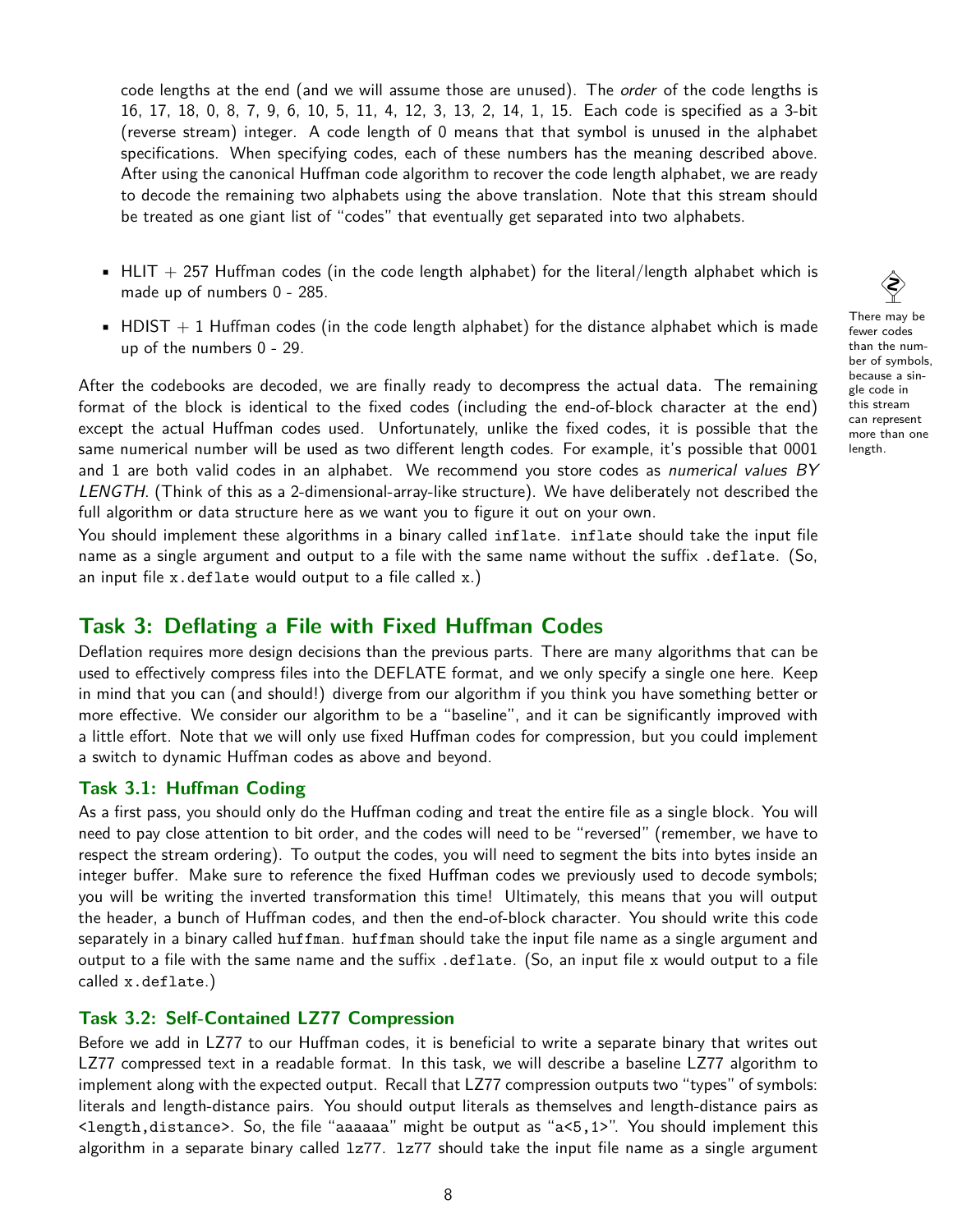code lengths at the end (and we will assume those are unused). The *order* of the code lengths is 16, 17, 18, 0, 8, 7, 9, 6, 10, 5, 11, 4, 12, 3, 13, 2, 14, 1, 15. Each code is specified as a 3-bit (reverse stream) integer. A code length of 0 means that that symbol is unused in the alphabet specifications. When specifying codes, each of these numbers has the meaning described above. After using the canonical Huffman code algorithm to recover the code length alphabet, we are ready to decode the remaining two alphabets using the above translation. Note that this stream should be treated as one giant list of "codes" that eventually get separated into two alphabets.

- $\blacksquare$  HLIT + 257 Huffman codes (in the code length alphabet) for the literal/length alphabet which is made up of numbers 0 - 285.
- HDIST  $+1$  Huffman codes (in the code length alphabet) for the distance alphabet which is made up of the numbers 0 - 29.

After the codebooks are decoded, we are finally ready to decompress the actual data. The remaining format of the block is identical to the fixed codes (including the end-of-block character at the end) except the actual Huffman codes used. Unfortunately, unlike the fixed codes, it is possible that the same numerical number will be used as two different length codes. For example, it's possible that 0001 and 1 are both valid codes in an alphabet. We recommend you store codes as numerical values BY LENGTH. (Think of this as a 2-dimensional-array-like structure). We have deliberately not described the full algorithm or data structure here as we want you to figure it out on your own.

You should implement these algorithms in a binary called inflate. inflate should take the input file name as a single argument and output to a file with the same name without the suffix .deflate. (So, an input file  $x$ . deflate would output to a file called  $x$ .)

## **Task 3: Deflating a File with Fixed Huffman Codes**

Deflation requires more design decisions than the previous parts. There are many algorithms that can be used to effectively compress files into the DEFLATE format, and we only specify a single one here. Keep in mind that you can (and should!) diverge from our algorithm if you think you have something better or more effective. We consider our algorithm to be a "baseline", and it can be significantly improved with a little effort. Note that we will only use fixed Huffman codes for compression, but you could implement a switch to dynamic Huffman codes as above and beyond.

## **Task 3.1: Huffman Coding**

As a first pass, you should only do the Huffman coding and treat the entire file as a single block. You will need to pay close attention to bit order, and the codes will need to be "reversed" (remember, we have to respect the stream ordering). To output the codes, you will need to segment the bits into bytes inside an integer buffer. Make sure to reference the fixed Huffman codes we previously used to decode symbols; you will be writing the inverted transformation this time! Ultimately, this means that you will output the header, a bunch of Huffman codes, and then the end-of-block character. You should write this code separately in a binary called huffman. huffman should take the input file name as a single argument and output to a file with the same name and the suffix .deflate. (So, an input file x would output to a file called x.deflate.)

#### **Task 3.2: Self-Contained LZ77 Compression**

Before we add in LZ77 to our Huffman codes, it is beneficial to write a separate binary that writes out LZ77 compressed text in a readable format. In this task, we will describe a baseline LZ77 algorithm to implement along with the expected output. Recall that LZ77 compression outputs two "types" of symbols: literals and length-distance pairs. You should output literals as themselves and length-distance pairs as <length,distance>. So, the file "aaaaaa" might be output as "a<5,1>". You should implement this algorithm in a separate binary called  $1z77$ .  $1z77$  should take the input file name as a single argument

 $\hat{\diamondsuit}$ There may be fewer codes than the number of symbols, because a single code in this stream can represent more than one

length.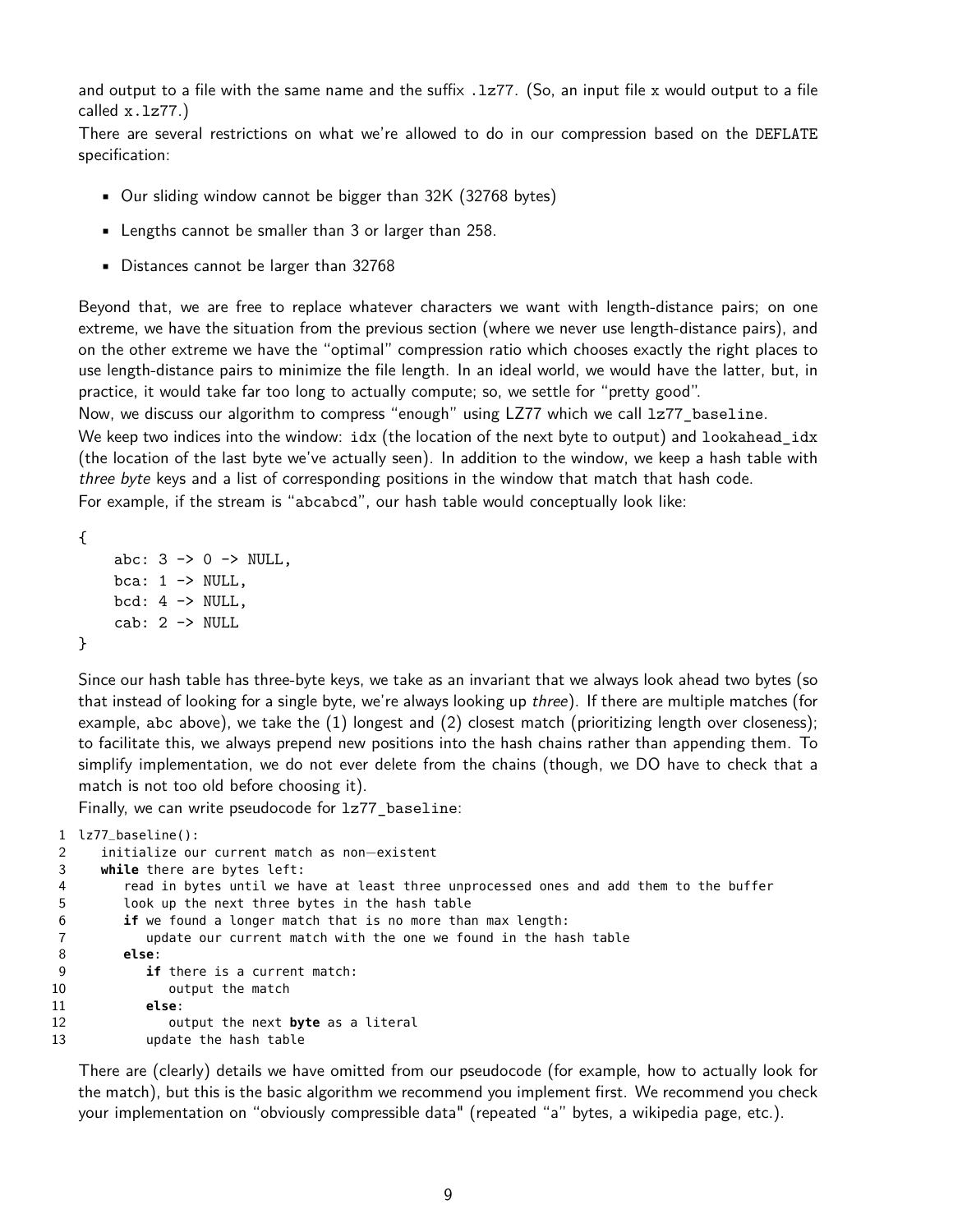and output to a file with the same name and the suffix .1z77. (So, an input file x would output to a file called x.lz77.)

There are several restrictions on what we're allowed to do in our compression based on the DEFLATE specification:

- Our sliding window cannot be bigger than 32K (32768 bytes)
- Lengths cannot be smaller than 3 or larger than 258.
- Distances cannot be larger than 32768

Beyond that, we are free to replace whatever characters we want with length-distance pairs; on one extreme, we have the situation from the previous section (where we never use length-distance pairs), and on the other extreme we have the "optimal" compression ratio which chooses exactly the right places to use length-distance pairs to minimize the file length. In an ideal world, we would have the latter, but, in practice, it would take far too long to actually compute; so, we settle for "pretty good".

Now, we discuss our algorithm to compress "enough" using LZ77 which we call 1z77 baseline.

We keep two indices into the window: idx (the location of the next byte to output) and lookahead\_idx (the location of the last byte we've actually seen). In addition to the window, we keep a hash table with three byte keys and a list of corresponding positions in the window that match that hash code.

For example, if the stream is "abcabcd", our hash table would conceptually look like:

```
{
       abc: 3 \rightarrow 0 \rightarrow \text{NULL},
       bca: 1 \rightarrow \text{NULL},
       bcd: 4 \rightarrow \text{NULL},
       cab: 2 -> NULL
}
```
Since our hash table has three-byte keys, we take as an invariant that we always look ahead two bytes (so that instead of looking for a single byte, we're always looking up three). If there are multiple matches (for example, abc above), we take the (1) longest and (2) closest match (prioritizing length over closeness); to facilitate this, we always prepend new positions into the hash chains rather than appending them. To simplify implementation, we do not ever delete from the chains (though, we DO have to check that a match is not too old before choosing it).

Finally, we can write pseudocode for lz77\_baseline:

```
1 lz77_baseline():
2 initialize our current match as non−existent
3 while there are bytes left:
4 read in bytes until we have at least three unprocessed ones and add them to the buffer
5 look up the next three bytes in the hash table
6 if we found a longer match that is no more than max length:
7 update our current match with the one we found in the hash table
8 else:
9 if there is a current match:
10 output the match
11 else:
12 output the next byte as a literal
13 update the hash table
```
There are (clearly) details we have omitted from our pseudocode (for example, how to actually look for the match), but this is the basic algorithm we recommend you implement first. We recommend you check your implementation on "obviously compressible data" (repeated "a" bytes, a wikipedia page, etc.).